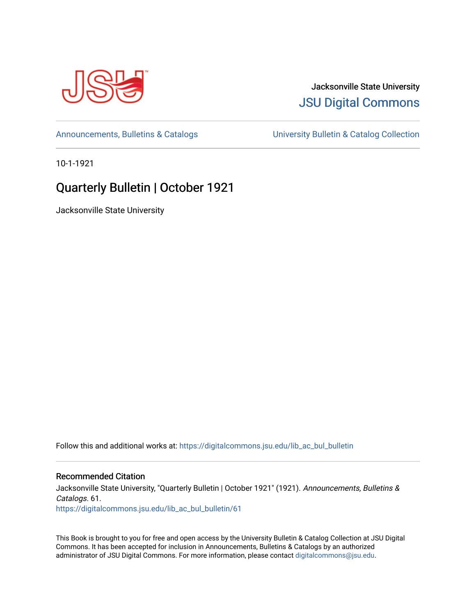

## Jacksonville State University [JSU Digital Commons](https://digitalcommons.jsu.edu/)

[Announcements, Bulletins & Catalogs](https://digitalcommons.jsu.edu/lib_ac_bul_bulletin) [University Bulletin & Catalog Collection](https://digitalcommons.jsu.edu/lib_ac_bulletin) 

10-1-1921

# Quarterly Bulletin | October 1921

Jacksonville State University

Follow this and additional works at: [https://digitalcommons.jsu.edu/lib\\_ac\\_bul\\_bulletin](https://digitalcommons.jsu.edu/lib_ac_bul_bulletin?utm_source=digitalcommons.jsu.edu%2Flib_ac_bul_bulletin%2F61&utm_medium=PDF&utm_campaign=PDFCoverPages) 

## Recommended Citation

Jacksonville State University, "Quarterly Bulletin | October 1921" (1921). Announcements, Bulletins & Catalogs. 61. [https://digitalcommons.jsu.edu/lib\\_ac\\_bul\\_bulletin/61](https://digitalcommons.jsu.edu/lib_ac_bul_bulletin/61?utm_source=digitalcommons.jsu.edu%2Flib_ac_bul_bulletin%2F61&utm_medium=PDF&utm_campaign=PDFCoverPages)

This Book is brought to you for free and open access by the University Bulletin & Catalog Collection at JSU Digital Commons. It has been accepted for inclusion in Announcements, Bulletins & Catalogs by an authorized administrator of JSU Digital Commons. For more information, please contact [digitalcommons@jsu.edu.](mailto:digitalcommons@jsu.edu)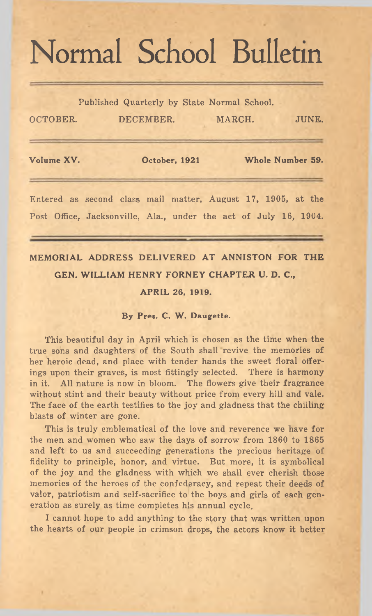# Normal School Bulletin

Published Quarterly by State Normal School.

| OCTOBER.   | DECEMBER.     | MARCH. | JUNE.            |
|------------|---------------|--------|------------------|
| Volume XV. | October, 1921 |        | Whole Number 59. |
|            |               |        |                  |

Entered as second class mail matter, August 17, 1905, at the Post Office, Jacksonville, Ala., under the act of July 16, 1904.

## MEMORIAL ADDRESS DELIVERED AT ANNISTON FOR THE GEN. WILLIAM HENRY FORNEY CHAPTER U. D. C.,

#### APRIL 26, 1919.

#### By Pres. C. W. Daugette.

This beautiful day in April which is chosen as the time when the true sons and daughters of the South shall revive the memories of her heroic dead, and place with tender hands the sweet floral offerings upon their graves, is most fittingly selected. There is harmony in it. All nature is now in bloom. The flowers give their fragrance without stint and their beauty without price from every hill and vale. The face of the earth testifies to the joy and gladness that the chilling blasts of winter are gone.

This is truly emblematical of the love and reverence we have for the men and women who saw the days of sorrow from 1860 to 1865 and left to us and succeeding generations the precious heritage of fidelity to principle, honor, and virtue. But more, it is symbolical of the joy and the gladness with which we shall ever cherish those memories of the heroes of the confederacy, and repeat their deeds of valor, patriotism and self-sacrifice to the boys and girls of each generation as surely as time completes his annual cycle.

I cannot hope to add anything to the story that was written upon the hearts of our people in crimson drops, the actors know it better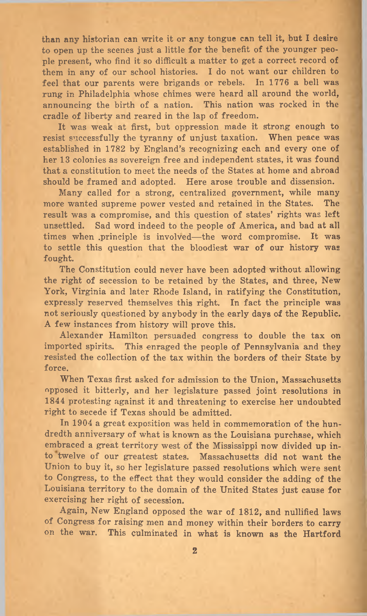than any historian can write it or any tongue can tell it, but I desire to open up the scenes just a little for the benefit of the younger people present, who find it so difficult a matter to get a correct record of them in any of our school histories. I do not want our children to feel that our parents were brigands or rebels. In 1776 a bell was rung in Philadelphia whose chimes were heard all around the world, announcing the birth of a nation. This nation was rocked in the cradle of liberty and reared in the lap of freedom.

It was weak at first, but oppression made it strong enough to resist successfully the tyranny of unjust taxation. When peace was established in 1782 by England's recognizing each and every one of her 13 colonies as sovereign free and independent states, it was found that a constitution to meet the needs of the States at home and abroad should be framed and adopted. Here arose trouble and dissension.

Many called for a strong, centralized government, while many more wanted supreme power vested and retained in the States. The result was a compromise, and this question of states' rights was left unsettled. Sad word indeed to the people of America, and bad at all times when principle is involved— the word compromise. It was to settle this question that the bloodiest war of our history was fought.

The Constitution could never have been adopted without allowing the right of secession to be retained by the States, and three, New York, Virginia and later Rhode Island, in ratifying the Constitution, expressly reserved themselves this right. In fact the principle was not seriously questioned by anybody in the early days of the Republic. A few instances from history will prove this.

Alexander Hamilton persuaded congress to double the tax on imported spirits. This enraged the people of Pennsylvania and they resisted the collection of the tax within the borders of their State by force.

When Texas first asked for admission to the Union, Massachusetts opposed it bitterly, and her legislature passed joint resolutions in 1844 protesting against it and threatening to exercise her undoubted right to secede if Texas should be admitted.

In 1904 a great exposition was held in commemoration of the hundredth anniversary of what is known as the Louisiana purchase, which embraced a great territory west of the Mississippi now divided up into twelve of our greatest states. Massachusetts did not want the Union to buy it, so her legislature passed resolutions which were sent to Congress, to the effect that they would consider the adding of the Louisiana territory to the domain of the United States just cause for exercising her right of secession.

Again, New England opposed the war of 1812, and nullified laws of Congress for raising men and money within their borders to carry on the war. This culminated in what is known as the Hartford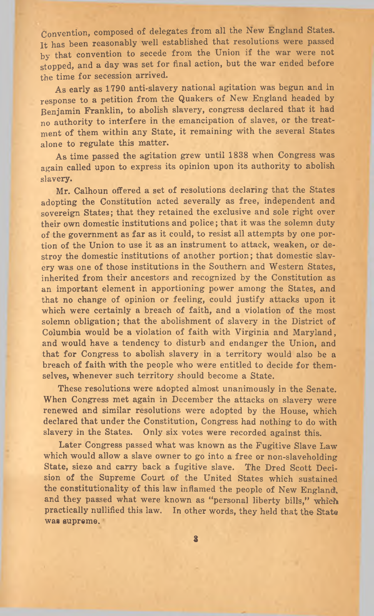Convention, composed of delegates from all the New England States. It has been reasonably well established that resolutions were passed by that convention to secede from the Union if the war were not stopped, and a day was set for final action, but the war ended before the time for secession arrived.

As early as 1790 anti-slavery national agitation was begun and in response to a petition from the Quakers of New England headed by Benjamin Franklin, to abolish slavery, congress declared that it had no authority to interfere in the emancipation of slaves, or the treatment of them within any State, it remaining with the several States alone to regulate this matter.

As time passed the agitation grew until 1838 when Congress was again called upon to express its opinion upon its authority to abolish slavery.

Mr. Calhoun offered a set of resolutions declaring that the States adopting the Constitution acted severally as free, independent and sovereign States; that they retained the exclusive and sole right over their own domestic institutions and police; that it was the solemn duty of the government as far as it could, to resist all attempts by one portion of the Union to use it as an instrument to attack, weaken, or destroy the domestic institutions of another portion; that domestic slavery was one of those institutions in the Southern and Western States, inherited from their ancestors and recognized by the Constitution as an important element in apportioning power among the States, and that no change of opinion or feeling, could justify attacks upon it which were certainly a breach of faith, and a violation of the most solemn obligation; that the abolishment of slavery in the District of Columbia would be a violation of faith with Virginia and Maryland, and would have a tendency to disturb and endanger the Union, and that for Congress to abolish slavery in a territory would also be a breach of faith with the people who were entitled to decide for themselves, whenever such territory should become a State.

These resolutions were adopted almost unanimously in the Senate. When Congress met again in December the attacks on slavery were renewed and similar resolutions were adopted by the House, which declared that under the Constitution, Congress had nothing to do with slavery in the States. Only six votes were recorded against this.

Later Congress passed what was known as the Fugitive Slave Law which would allow a slave owner to go into a free or non-slaveholding State, sieze and carry back a fugitive slave. The Dred Scott Decision of the Supreme Court of the United States which sustained the constitutionality of this law inflamed the people of New England. and they passed what were known as "personal liberty bills," which practically nullified this law. In other words, they held that the State was supreme.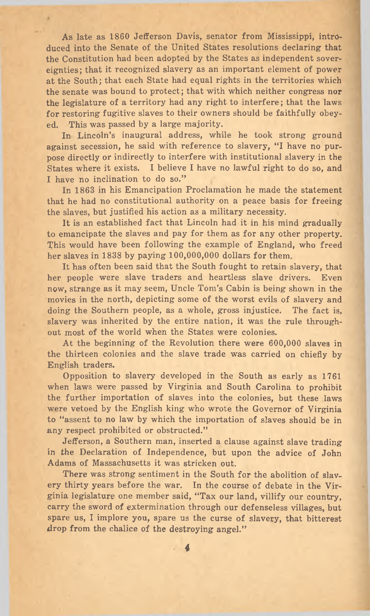As late as 1860 Jefferson Davis, senator from Mississippi, introduced into the Senate of the United States resolutions declaring that the Constitution had been adopted by the States as independent sovereignties; that it recognized slavery as an important element of power at the South; that each State had equal rights in the territories which the senate was bound to protect; that with which neither congress nor the legislature of a territory had any right to interfere; that the laws for restoring fugitive slaves to their owners should be faithfully obeyed. This was passed by a large majority.

In Lincoln's inaugural address, while he took strong ground against secession, he said with reference to slavery, "I have no purpose directly or indirectly to interfere with institutional slavery in the States where it exists. I believe I have no lawful right to do so, and I have no inclination to do so."

In 1863 in his Emancipation Proclamation he made the statement that he had no constitutional authority on a peace basis for freeing the slaves, but justified his action as a military necessity.

It is an established fact that Lincoln had it in his mind gradually to emancipate the slaves and pay for them as for any other property. This would have been following the example of England, who freed her slaves in 1838 by paying 100,000,000 dollars for them.

It has often been said that the South fought to retain slavery, that her people were slave traders and heartless slave drivers. Even now, strange as it may seem, Uncle Tom's Cabin is being shown in the movies in the north, depicting some of the worst evils of slavery and doing the Southern people, as a whole, gross injustice. The fact is, slavery was inherited by the entire nation, it was the rule throughout most of the world when the States were colonies.

At the beginning of the Revolution there were 600,000 slaves in the thirteen colonies and the slave trade was carried on chiefly by English traders.

Opposition to slavery developed in the South as early as 1761 when laws were passed by Virginia and South Carolina to prohibit the further importation of slaves into the colonies, but these laws were vetoed by the English king who wrote the Governor of Virginia to " assent to no law by which the importation of slaves should be in any respect prohibited or obstructed."

Jefferson, a Southern man, inserted a clause against slave trading in the Declaration of Independence, but upon the advice of John Adams of Massachusetts it was stricken out.

There was strong sentiment in the South for the abolition of slavery thirty years before the war. In the course of debate in the Virginia legislature one member said, " Tax our land, villify our country, carry the sword of extermination through our defenseless villages, but spare us, I implore you, spare us the curse of slavery, that bitterest drop from the chalice of the destroying angel."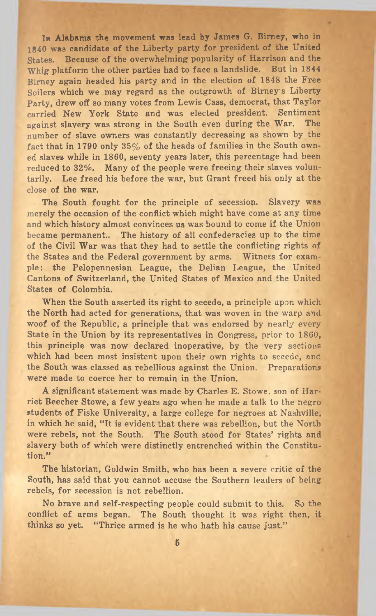In Alabama the movement was lead by James G. Birney, who in 1840 was candidate of the Liberty party for president of the United States. Because of the overwhelming popularity of Harrison and the Whig platform the other parties had to face a landslide. But in 1844 Birney again headed his party and in the election of 1848 the Free Soilers which we may regard as the outgrowth of Birney's Liberty Party, drew off so many votes from Lewis Cass, democrat, that Taylor carried New York State and was elected president. Sentiment against slavery was strong in the South even during the War. The number of slave owners was constantly decreasing as shown by the fact that in 1790 only  $35\%$  of the heads of families in the South owned slaves while in 1860, seventy years later, this percentage had been reduced to 32%. Many of the people were freeing their slaves voluntarily. Lee freed his before the war, but Grant freed his only at the close of the war.

The South fought for the principle of secession. Slavery was merely the occasion of the conflict which might have come at any time and which history almost convinces us was bound to come if the Union became permanent.. The history of all confederacies up to the time of the Civil War was that they had to settle the conflicting rights of the States and the Federal government by arms. Witness for example: the Pelopennesian League, the Delian League, the United Cantons of Switzerland, the United States of Mexico and the United States of Colombia.

When the South asserted its right to secede, a principle upon which the North had acted for generations, that was woven in the warp and woof of the Republic, a principle that was endorsed by nearly every State in the Union by its representatives in Congress, prior to 1860, this principle was now declared inoperative, by the very sections which had been most insistent upon their own rights to secede, and the South was classed as rebellious against the Union. Preparations were made to coerce her to remain in the Union.

A significant statement was made by Charles E. Stowe, son of Harriet Beecher Stowe, a few years ago when he made a talk to the negro students of Fiske University, a large college for negroes at Nashville, in which he said, "It is evident that there was rebellion, but the North were rebels, not the South. The South stood for States' rights and slavery both of which were distinctly entrenched within the Constitution."

The historian, Goldwin Smith, who has been a severe critic of the South, has said that you cannot accuse the Southern leaders of being rebels, for secession is not rebellion.

No brave and self-respecting people could submit to this. So the conflict of arms began. The South thought it was right then, it thinks so yet. "Thrice armed is he who hath his cause just."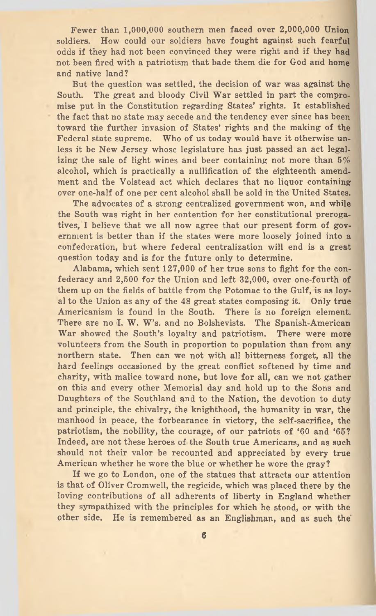Fewer than 1,000,000 southern men faced over 2,000,000 Union soldiers. How could our soldiers have fought against such fearful odds if they had not been convinced they were right and if they had not been fired with a patriotism that bade them die for God and home and native land?

But the question was settled, the decision of war was against the South. The great and bloody Civil War settled in part the compromise put in the Constitution regarding States' rights. It established the fact that no state may secede and the tendency ever since has been toward the further invasion of States' rights and the making of the Federal state supreme. Who of us today would have it otherwise unless it be New Jersey whose legislature has just passed an act legalizing the sale of light wines and beer containing not more than *5%* alcohol, which is practically a nullification of the eighteenth amendment and the Volstead act which declares that no liquor containing over one-half of one per cent alcohol shall be sold in the United States.

The advocates of a strong centralized government won, and while the South was right in her contention for her constitutional prerogatives, I believe that we all now agree that our present form of government is better than if the states were more loosely joined into a confederation, but where federal centralization will end is a great question today and is for the future only to determine.

Alabama, which sent 127,000 of her true sons to fight for the confederacy and 2,500 for the Union and left 32,000, over one-fourth of them up on the fields of battle from the Potomac to the Gulf, is as loyal to the Union as any of the 48 great states composing it. Only true Americanism is found in the South. There is no foreign element. There are no I. W. W's. and no Bolshevists. The Spanish-American War showed the South's loyalty and patriotism. There were more volunteers from the South in proportion to population than from any northern state. Then can we not with all bitterness forget, all the hard feelings occasioned by the great conflict softened by time and charity, with malice toward none, but love for all, can we not gather on this and every other Memorial day and hold up to the Sons and Daughters of the Southland and to the Nation, the devotion to duty and principle, the chivalry, the knighthood, the humanity in war, the manhood in peace, the forbearance in victory, the self-sacrifice, the patriotism, the nobility, the courage, of our patriots of '60 and '65? Indeed, are not these heroes of the South true Americans, and as such should not their valor be recounted and appreciated by every true American whether he wore the blue or whether he wore the gray?

If we go to London, one of the statues that attracts our attention is that of Oliver Cromwell, the regicide, which was placed there by the loving contributions of all adherents of liberty in England whether they sympathized with the principles for which he stood, or with the other side. He is remembered as an Englishman, and as such the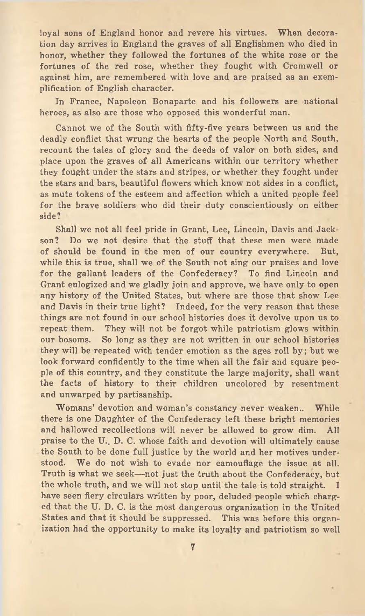loyal sons of England honor and revere his virtues. When decoration day arrives in England the graves of all Englishmen who died in honor, whether they followed the fortunes of the white rose or the fortunes of the red rose, whether they fought with Cromwell or against him, are remembered with love and are praised as an exemplification of English character.

In France, Napoleon Bonaparte and his followers are national heroes, as also are those who opposed this wonderful man.

Cannot we of the South with fifty-five years between us and the deadly conflict that wrung the hearts of the people North and South, recount the tales of glory and the deeds of valor on both sides, and place upon the graves of all Americans within our territory whether they fought under the stars and stripes, or whether they fought under the stars and bars, beautiful flowers which know not sides in a conflict, as mute tokens of the esteem and affection which a united people feel for the brave soldiers who did their duty conscientiously on either side?

Shall we not all feel pride in Grant, Lee, Lincoln, Davis and Jackson? Do we not desire that the stuff that these men were made of should be found in the men of our country everywhere. But, while this is true, shall we of the South not sing our praises and love for the gallant leaders of the Confederacy? To find Lincoln and Grant eulogized and we gladly join and approve, we have only to open any history of the United States, but where are those that show Lee and Davis in their true light? Indeed, for the very reason that these things are not found in our school histories does it devolve upon us to repeat them. They will not be forgot while patriotism glows within our bosoms. So long as they are not written in our school histories they will be repeated with tender emotion as the ages roll by ; but we look forward confidently to the time when all the fair and square people of this country, and they constitute the large majority, shall want the facts of history to their children uncolored by resentment and unwarped by partisanship.

Womans' devotion and woman's constancy never weaken.. While there is one Daughter of the Confederacy left these bright memories and hallowed recollections will never be allowed to grow dim. All praise to the U. D. C. whose faith and devotion will ultimately cause the South to be done full justice by the world and her motives understood. We do not wish to evade nor camouflage the issue at all. Truth is what we seek— not just the truth about the Confederacy, but the whole truth, and we will not stop until the tale is told straight. I have seen fiery circulars written by poor, deluded people which charged that the U. D. C. is the most dangerous organization in the United States and that it should be suppressed. This was before this organization had the opportunity to make its loyalty and patriotism so well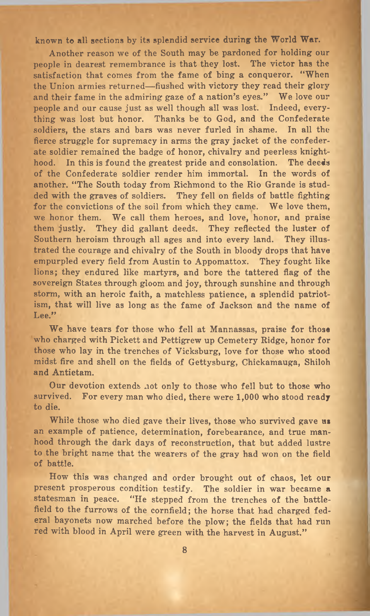known to all sections by its splendid service during the World War.

Another reason we of the South may be pardoned for holding our people in dearest remembrance is that they lost. The victor has the satisfaction that comes from the fame of bing a conqueror. " When the Union armies returned—fiushed with victory they read their glory and their fame in the admiring gaze of a nation's eyes." We love our people and our cause just as well though all was lost. Indeed, everything was lost but honor. Thanks be to God, and the Confederate soldiers, the stars and bars was never furled in shame. In all the fierce struggle for supremacy in arms the gray jacket of the confederate soldier remained the badge of honor, chivalry and peerless knighthood. In this is found the greatest pride and consolation. The deeds of the Confederate soldier render him immortal. In the words of another. "The South today from Richmond to the Rio Grande is studded with the graves of soldiers. They fell on fields of battle fighting for the convictions of the soil from which they came. We love them, we honor them. We call them heroes, and love, honor, and praise them justly. They did gallant deeds. They reflected the luster of Southern heroism through all ages and into every land. They illustrated the courage and chivalry of the South in bloody drops that have empurpled every field from Austin to Appomattox. They fought like lions; they endured like martyrs, and bore the tattered flag of the sovereign States through gloom and joy, through sunshine and through storm, with an heroic faith, a matchless patience, a splendid patriotism, that will live as long as the fame of Jackson and the name of Lee."

We have tears for those who fell at Mannassas, praise for those who charged with Pickett and Pettigrew up Cemetery Ridge, honor for those who lay in the trenches of Vicksburg, love for those who stood midst fire and shell on the fields of Gettysburg, Chickamauga, Shiloh and Antietam.

Our devotion extends not only to those who fell but to those who survived. For every man who died, there were 1,000 who stood ready to die.

While those who died gave their lives, those who survived gave us an example of patience, determination, forebearance, and true manhood through the dark days of reconstruction, that but added lustre to the bright name that the wearers of the gray had won on the field of battle.

How this was changed and order brought out of chaos, let our present prosperous condition testify. The soldier in war became a statesman in peace. "He stepped from the trenches of the battlefield to the furrows of the cornfield; the horse that had charged federal bayonets now marched before the plow; the fields that had run red with blood in April were green with the harvest in August."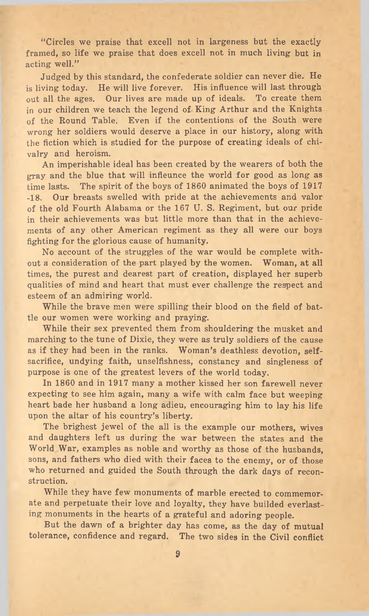" Circles we praise that excell not in largeness but the exactly framed, so life we praise that does excell not in much living but in acting well."

Judged by this standard, the confederate soldier can never die. He is living today. He will live forever. His influence will last through out all the ages. Our lives are made up of ideals. To create them in our children we teach the legend of King Arthur and the Knights of the Round Table. Even if the contentions of the South were wrong her soldiers would deserve a place in our history, along with the fiction which is studied for the purpose of creating ideals of chivalry and heroism.

An imperishable ideal has been created by the wearers of both the gray and the blue that will influence the world for good as long as time lasts. The spirit of the boys of 1860 animated the boys of 1917 -18. Our breasts swelled with pride at the achievements and valor of the old Fourth Alabama or the 167 U. S. Regiment, but our pride in their achievements was but little more than that in the achievements of any other American regiment as they all were our boys fighting for the glorious cause of humanity.

No account of the struggles of the war would be complete without a consideration of the part played by the women. Woman, at all times, the purest and dearest part of creation, displayed her superb qualities of mind and heart that must ever challenge the respect and esteem of an admiring world.

While the brave men were spilling their blood on the field of battle our women were working and praying.

While their sex prevented them from shouldering the musket and marching to the tune of Dixie, they were as truly soldiers of the cause as if they had been in the ranks. Woman's deathless devotion, selfsacrifice, undying faith, unselfishness, constancy and singleness of purpose is one of the greatest levers of the world today.

In 1860 and in 1917 many a mother kissed her son farewell never expecting to see him again, many a wife with calm face but weeping heart bade her husband a long adieu, encouraging him to lay his life upon the altar of his country's liberty.

The brighest jewel of the all is the example our mothers, wives and daughters left us during the war between the states and the World War, examples as noble and worthy as those of the husbands, sons, and fathers who died with their faces to the enemy, or of those who returned and guided the South through the dark days of reconstruction.

While they have few monuments of marble erected to commemorate and perpetuate their love and loyalty, they have builded everlasting monuments in the hearts of a grateful and adoring people.

But the dawn of a brighter day has come, as the day of mutual tolerance, confidence and regard. The two sides in the Civil conflict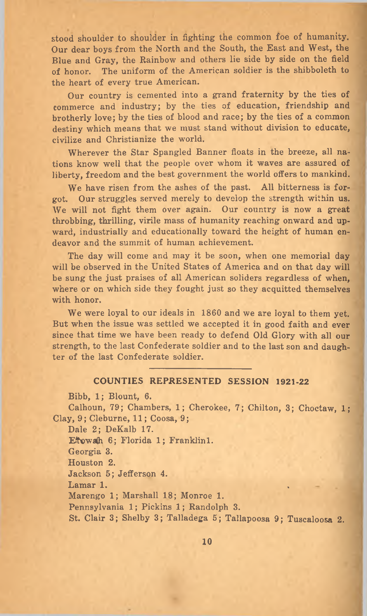stood shoulder to shoulder in fighting the common foe of humanity. Our dear boys from the North and the South, the East and West, the Blue and Gray, the Rainbow and others lie side by side on the field of honor. The uniform of the American soldier is the shibboleth to the heart of every true American.

Our country is cemented into a grand fraternity by the ties of commerce and industry; by the ties of education, friendship and brotherly love; by the ties of blood and race; by the ties of a common destiny which means that we must stand without division to educate, civilize and Christianize the world.

Wherever the Star Spangled Banner floats in the breeze, all nations know well that the people over whom it waves are assured of liberty, freedom and the best government the world offers to mankind.

We have risen from the ashes of the past. All bitterness is forgot. Our struggles served merely to develop the strength within us. We will not fight them over again. Our country is now a great throbbing, thrilling, virile mass of humanity reaching onward and upward, industrially and educationally toward the height of human endeavor and the summit of human achievement.

The day will come and may it be soon, when one memorial day will be observed in the United States of America and on that day will be sung the just praises of all American soliders regardless of when, where or on which side they fought just so they acquitted themselves with honor.

We were loyal to our ideals in 1860 and we are loyal to them yet. But when the issue was settled we accepted it in good faith and ever since that time we have been ready to defend Old Glory with all our strength, to the last Confederate soldier and to the last son and daughter of the last Confederate soldier.

#### COUNTIES REPRESENTED SESSION 1921-22

Bibb, 1; Blount, 6.

Calhoun, 79; Chambers, 1; Cherokee, 7; Chilton, 3; Choctaw, 1; Clay, 9; Cleburne, 11; Coosa, 9;

Dale 2; DeKalb 17.

Etowah 6; Florida 1; Franklin1.

Georgia 3.

Houston 2.

Jackson 5; Jefferson 4.

Lamar 1.

Marengo 1; Marshall 18; Monroe 1.

Pennsylvania 1; Pickins 1; Randolph 3.

St. Clair 3; Shelby 3; Talladega 5; Tallapoosa 9; Tuscaloosa 2.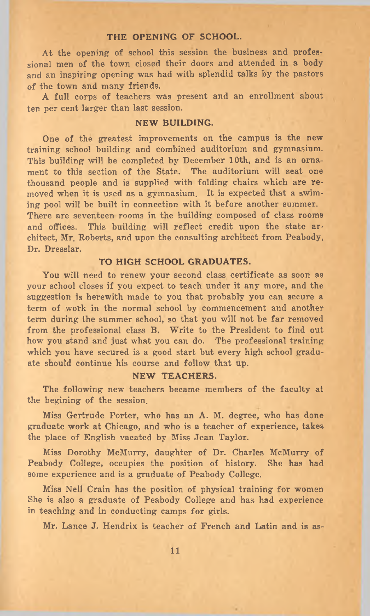#### THE OPENING OF SCHOOL.

At the opening of school this session the business and professional men of the town closed their doors and attended in a body and an inspiring opening was had with splendid talks by the pastors of the town and many friends.

A full corps of teachers was present and an enrollment about ten per cent larger than last session.

#### NEW BUILDING.

One of the greatest improvements on the campus is the new training school building and combined auditorium and gymnasium. This building will be completed by December 10th, and is an ornament to this section of the State. The auditorium will seat one thousand people and is supplied with folding chairs which are removed when it is used as a gymnasium. It is expected that a swiming pool will be built in connection with it before another summer. There are seventeen rooms in the building composed of class rooms and offices. This building will reflect credit upon the state architect, Mr. Roberts, and upon the consulting architect from Peabody, Dr. Dresslar.

#### TO HIGH SCHOOL GRADUATES.

You will need to renew your second class certificate as soon as your school closes if you expect to teach under it any more, and the suggestion is herewith made to you that probably you can secure a term of work in the normal school by commencement and another term during the summer school, so that you will not be far removed from the professional class B. Write to the President to find out how you stand and just what you can do. The professional training which you have secured is a good start but every high school graduate should continue his course and follow that up.

#### NEW TEACHERS.

The following new teachers became members of the faculty at the begining of the session.

Miss Gertrude Porter, who has an A. M. degree, who has done graduate work at Chicago, and who is a teacher of experience, takes the place of English vacated by Miss Jean Taylor.

Miss Dorothy McMurry, daughter of Dr. Charles McMurry of Peabody College, occupies the position of history. She has had some experience and is a graduate of Peabody College.

Miss Nell Crain has the position of physical training for women She is also a graduate of Peabody College and has had experience in teaching and in conducting camps for girls.

Mr. Lance J. Hendrix is teacher of French and Latin and is as-